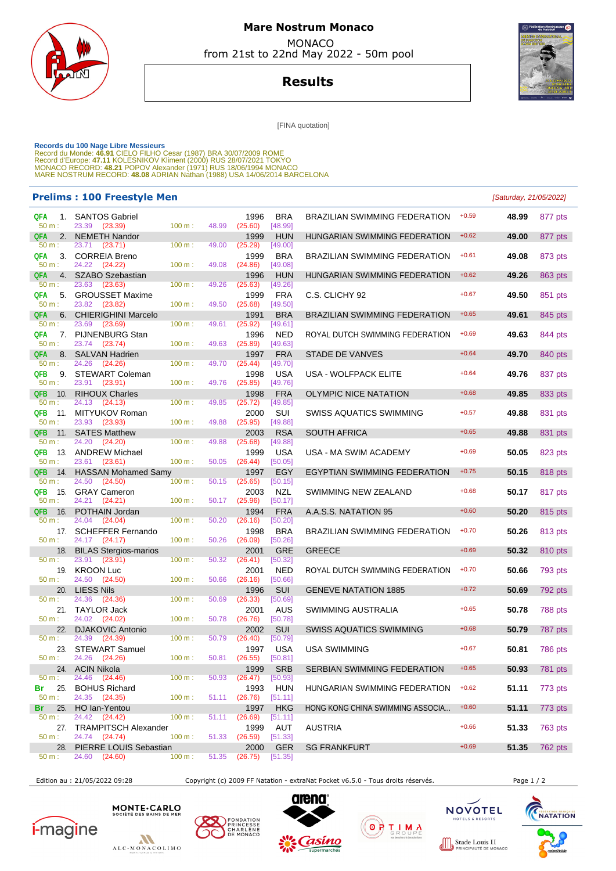

# **Mare Nostrum Monaco MONACO**

from 21st to 22nd May 2022 - 50m pool



**Results**

[FINA quotation]

Records du 100 Nage Libre Messieurs<br>Record du Monde: 46.91 CIELO FILHO Cesar (1987) BRA 30/07/2009 ROME<br>Record d'Europe: 47.11 KOLESNIKOV Kliment (2000) RUS 28/07/2021 TOKYO<br>MONACO RECORD: 48.21 POPOV Alexander (1971) RUS

#### **Prelims : 100 Freestyle Men** [Saturday, 21/05/2022]

| QFA<br>50 m:      | 1. SANTOS Gabriel<br>23.39 (23.39) | 100 m: | 48.99 | 1996<br>(25.60) | <b>BRA</b><br>[48.99] | BRAZILIAN SWIMMING FEDERATION        | $+0.59$ | 48.99 | 877 pts        |
|-------------------|------------------------------------|--------|-------|-----------------|-----------------------|--------------------------------------|---------|-------|----------------|
| 2.<br><b>QFA</b>  | <b>NEMETH Nandor</b>               |        |       | 1999            | <b>HUN</b>            | HUNGARIAN SWIMMING FEDERATION        | $+0.62$ | 49.00 | 877 pts        |
| $50 m$ :          | 23.71 (23.71)                      | 100 m: | 49.00 | (25.29)         | [49.00]               |                                      |         |       |                |
| QFA<br>50 m:      | 3. CORREIA Breno<br>24.22 (24.22)  | 100 m: | 49.08 | 1999<br>(24.86) | BRA<br>[49.08]        | <b>BRAZILIAN SWIMMING FEDERATION</b> | $+0.61$ | 49.08 | 873 pts        |
| 4.<br><b>QFA</b>  | <b>SZABO Szebastian</b>            |        |       | 1996            | <b>HUN</b>            | HUNGARIAN SWIMMING FEDERATION        | $+0.62$ | 49.26 |                |
| 50 m:             | 23.63<br>(23.63)                   | 100 m: | 49.26 | (25.63)         | [49.26]               |                                      |         |       | 863 pts        |
|                   |                                    |        |       |                 |                       |                                      | $+0.67$ |       |                |
| QFA<br>50 m:      | 5. GROUSSET Maxime                 |        |       | 1999            | <b>FRA</b>            | C.S. CLICHY 92                       |         | 49.50 | 851 pts        |
|                   | 23.82<br>(23.82)                   | 100 m: | 49.50 | (25.68)         | [49.50]               |                                      |         |       |                |
| <b>QFA</b><br>6.  | <b>CHIERIGHINI Marcelo</b>         |        |       | 1991            | <b>BRA</b>            | BRAZILIAN SWIMMING FEDERATION        | $+0.65$ | 49.61 | 845 pts        |
| $50 m$ :          | 23.69 (23.69)                      | 100 m: | 49.61 | (25.92)         | [49.61]               |                                      |         |       |                |
| QFA               | 7. PIJNENBURG Stan                 |        |       | 1996            | <b>NED</b>            | ROYAL DUTCH SWIMMING FEDERATION      | $+0.69$ | 49.63 | 844 pts        |
| $50 m$ :          | 23.74 (23.74)                      | 100 m: | 49.63 | (25.89)         | [49.63]               |                                      |         |       |                |
| <b>QFA</b><br>8.  | <b>SALVAN Hadrien</b>              |        |       | 1997            | <b>FRA</b>            | <b>STADE DE VANVES</b>               | $+0.64$ | 49.70 | 840 pts        |
| $50 m$ :          | 24.26 (24.26)                      | 100 m: | 49.70 | (25.44)         | [49.70]               |                                      |         |       |                |
| QFB               | 9. STEWART Coleman                 |        |       | 1998            | USA                   | USA - WOLFPACK ELITE                 | $+0.64$ | 49.76 | 837 pts        |
| 50 m:             | 23.91 (23.91)                      | 100 m: | 49.76 | (25.85)         | [49.76]               |                                      |         |       |                |
| <b>QFB</b><br>10. | <b>RIHOUX Charles</b>              |        |       | 1998            | <b>FRA</b>            | OLYMPIC NICE NATATION                | $+0.68$ | 49.85 | 833 pts        |
| $50 m$ :          | 24.13<br>(24.13)                   | 100 m: | 49.85 | (25.72)         | [49.85]               |                                      |         |       |                |
| QFB<br>11.        | <b>MITYUKOV Roman</b>              |        |       | 2000            | SUI                   | SWISS AQUATICS SWIMMING              | $+0.57$ | 49.88 | 831 pts        |
| 50 m:             | 23.93 (23.93)                      | 100 m: | 49.88 | (25.95)         | [49.88]               |                                      |         |       |                |
| <b>QFB</b><br>11. | <b>SATES Matthew</b>               |        |       | 2003            | <b>RSA</b>            | SOUTH AFRICA                         | $+0.65$ | 49.88 | 831 pts        |
| $50 m$ :          | 24.20 (24.20)                      | 100 m: | 49.88 | (25.68)         | [49.88]               |                                      |         |       |                |
| QFB               | 13. ANDREW Michael                 |        |       | 1999            | <b>USA</b>            | USA - MA SWIM ACADEMY                | $+0.69$ | 50.05 | 823 pts        |
| 50 m:             | 23.61 (23.61)                      | 100 m: | 50.05 | (26.44)         | [50.05]               |                                      |         |       |                |
| <b>QFB</b><br>14. | <b>HASSAN Mohamed Samy</b>         |        |       | 1997            | EGY                   | EGYPTIAN SWIMMING FEDERATION         | $+0.75$ | 50.15 | 818 pts        |
| 50 m:             | 24.50<br>(24.50)                   | 100 m: | 50.15 | (25.65)         | [50.15]               |                                      |         |       |                |
| QFB               | 15. GRAY Cameron                   |        |       | 2003            | NZL                   | SWIMMING NEW ZEALAND                 | $+0.68$ | 50.17 | 817 pts        |
| 50 m:             | 24.21 (24.21)                      | 100 m: | 50.17 | (25.96)         | [50.17]               |                                      |         |       |                |
| <b>QFB</b><br>16. | POTHAIN Jordan                     |        |       | 1994            | <b>FRA</b>            | A.A.S.S. NATATION 95                 | $+0.60$ | 50.20 | 815 pts        |
| 50 m:             | 24.04<br>(24.04)                   | 100 m: | 50.20 | (26.16)         | [50.20]               |                                      |         |       |                |
|                   | 17. SCHEFFER Fernando              |        |       | 1998            | <b>BRA</b>            | BRAZILIAN SWIMMING FEDERATION        | $+0.70$ | 50.26 | 813 pts        |
| $50 m$ :          | 24.17 (24.17)                      | 100 m: | 50.26 | (26.09)         | [50.26]               |                                      |         |       |                |
| 18.               | <b>BILAS Stergios-marios</b>       |        |       | 2001            | <b>GRE</b>            | GREECE                               | $+0.69$ | 50.32 | 810 pts        |
| 50 m:             | 23.91<br>(23.91)                   | 100 m: | 50.32 | (26.41)         | [50.32]               |                                      |         |       |                |
| 19.               | <b>KROON Luc</b>                   |        |       | 2001            | <b>NED</b>            | ROYAL DUTCH SWIMMING FEDERATION      | $+0.70$ | 50.66 | 793 pts        |
| 50 m:             | 24.50<br>(24.50)                   | 100 m: | 50.66 | (26.16)         | [50.66]               |                                      |         |       |                |
| 20.               | <b>LIESS Nils</b>                  |        |       | 1996            | <b>SUI</b>            | <b>GENEVE NATATION 1885</b>          | $+0.72$ | 50.69 | 792 pts        |
| 50 m:             | 24.36<br>(24.36)                   | 100 m: | 50.69 | (26.33)         | [50.69]               |                                      |         |       |                |
|                   | 21. TAYLOR Jack                    |        |       | 2001            | AUS                   | SWIMMING AUSTRALIA                   | $+0.65$ | 50.78 | 788 pts        |
| 50 m:             | 24.02 (24.02)                      | 100 m: | 50.78 | (26.76)         | [50.78]               |                                      |         |       |                |
| 22.               | <b>DJAKOVIC Antonio</b>            |        |       | 2002            | <b>SUI</b>            | <b>SWISS AQUATICS SWIMMING</b>       | $+0.68$ | 50.79 | 787 pts        |
| 50 m:             | 24.39<br>(24.39)                   | 100 m: | 50.79 | (26.40)         | [50.79]               |                                      |         |       |                |
|                   | 23. STEWART Samuel                 |        |       | 1997            | <b>USA</b>            | <b>USA SWIMMING</b>                  | $+0.67$ | 50.81 | 786 pts        |
| 50 m:             | 24.26 (24.26)                      | 100 m: | 50.81 | (26.55)         | [50.81]               |                                      |         |       |                |
|                   | 24. ACIN Nikola                    |        |       | 1999            | <b>SRB</b>            | SERBIAN SWIMMING FEDERATION          | $+0.65$ | 50.93 | 781 pts        |
| 50 m:             | 24.46 (24.46)                      | 100 m: | 50.93 | (26.47)         | [50.93]               |                                      |         |       |                |
| 25.<br>Br         | <b>BOHUS Richard</b>               |        |       | 1993            | <b>HUN</b>            | HUNGARIAN SWIMMING FEDERATION        | $+0.62$ | 51.11 | 773 pts        |
| $50 m$ :          | 24.35 (24.35)                      | 100 m: | 51.11 | (26.76)         | [51.11]               |                                      |         |       |                |
| 25.<br>Br         | HO Ian-Yentou                      |        |       | 1997            | <b>HKG</b>            | HONG KONG CHINA SWIMMING ASSOCIA     | $+0.60$ | 51.11 | 773 pts        |
| $50 m$ :          | 24.42 (24.42)                      | 100 m: | 51.11 | (26.69)         | [51.11]               |                                      |         |       |                |
|                   | 27. TRAMPITSCH Alexander           |        |       | 1999            | AUT                   | <b>AUSTRIA</b>                       | $+0.66$ | 51.33 | 763 pts        |
| 50 m:             | 24.74 (24.74)                      | 100 m: | 51.33 | (26.59)         | [51.33]               |                                      |         |       |                |
| 28.               | PIERRE LOUIS Sebastian             |        |       | 2000            | <b>GER</b>            | <b>SG FRANKFURT</b>                  | $+0.69$ | 51.35 | <b>762 pts</b> |
| 50 m:             | 24.60<br>(24.60)                   | 100 m: | 51.35 | (26.75)         | [51.35]               |                                      |         |       |                |
|                   |                                    |        |       |                 |                       |                                      |         |       |                |

Edition au : 21/05/2022 09:28 Copyright (c) 2009 FF Natation - extraNat Pocket v6.5.0 - Tous droits réservés. Page 1 / 2













Stade Louis II